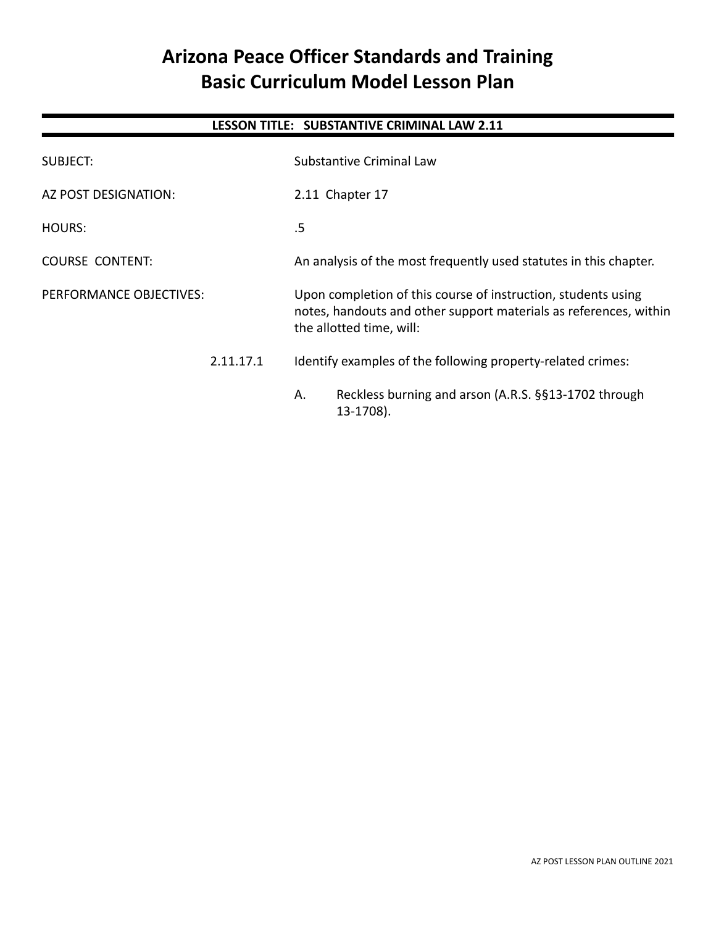# **Arizona Peace Officer Standards and Training Basic Curriculum Model Lesson Plan**

# **LESSON TITLE: SUBSTANTIVE CRIMINAL LAW 2.11**

| SUBJECT:                |           |                                                                                                                                                                | Substantive Criminal Law                                          |
|-------------------------|-----------|----------------------------------------------------------------------------------------------------------------------------------------------------------------|-------------------------------------------------------------------|
| AZ POST DESIGNATION:    |           |                                                                                                                                                                | 2.11 Chapter 17                                                   |
| HOURS:                  |           | .5                                                                                                                                                             |                                                                   |
| <b>COURSE CONTENT:</b>  |           |                                                                                                                                                                | An analysis of the most frequently used statutes in this chapter. |
| PERFORMANCE OBJECTIVES: |           | Upon completion of this course of instruction, students using<br>notes, handouts and other support materials as references, within<br>the allotted time, will: |                                                                   |
|                         | 2.11.17.1 | Identify examples of the following property-related crimes:                                                                                                    |                                                                   |
|                         |           | Α.                                                                                                                                                             | Reckless burning and arson (A.R.S. §§13-1702 through<br>13-1708). |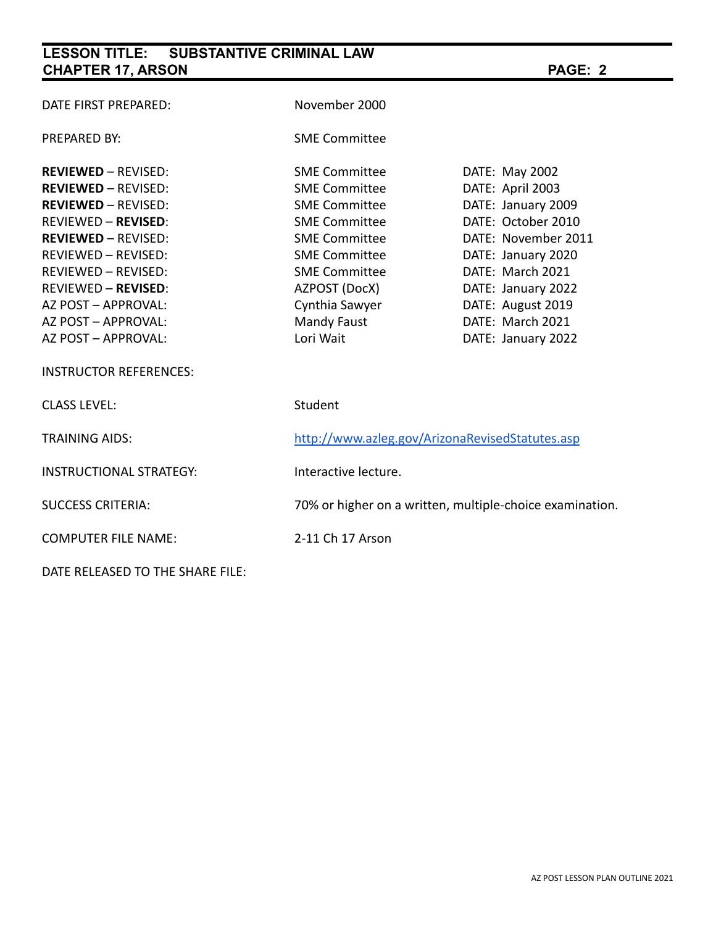# **LESSON TITLE: SUBSTANTIVE CRIMINAL LAW CHAPTER 17, ARSON PAGE: 2**

| DATE FIRST PREPARED:             | November 2000                                            |                     |  |
|----------------------------------|----------------------------------------------------------|---------------------|--|
| <b>PREPARED BY:</b>              | <b>SME Committee</b>                                     |                     |  |
| <b>REVIEWED - REVISED:</b>       | <b>SME Committee</b>                                     | DATE: May 2002      |  |
| <b>REVIEWED - REVISED:</b>       | <b>SME Committee</b>                                     | DATE: April 2003    |  |
| <b>REVIEWED - REVISED:</b>       | <b>SME Committee</b>                                     | DATE: January 2009  |  |
| <b>REVIEWED - REVISED:</b>       | <b>SME Committee</b>                                     | DATE: October 2010  |  |
| <b>REVIEWED - REVISED:</b>       | <b>SME Committee</b>                                     | DATE: November 2011 |  |
| <b>REVIEWED - REVISED:</b>       | <b>SME Committee</b>                                     | DATE: January 2020  |  |
| REVIEWED - REVISED:              | <b>SME Committee</b>                                     | DATE: March 2021    |  |
| <b>REVIEWED - REVISED:</b>       | AZPOST (DocX)                                            | DATE: January 2022  |  |
| AZ POST - APPROVAL:              | Cynthia Sawyer                                           | DATE: August 2019   |  |
| AZ POST - APPROVAL:              | <b>Mandy Faust</b>                                       | DATE: March 2021    |  |
| AZ POST - APPROVAL:              | Lori Wait                                                | DATE: January 2022  |  |
| <b>INSTRUCTOR REFERENCES:</b>    |                                                          |                     |  |
| <b>CLASS LEVEL:</b>              | Student                                                  |                     |  |
| <b>TRAINING AIDS:</b>            | http://www.azleg.gov/ArizonaRevisedStatutes.asp          |                     |  |
| <b>INSTRUCTIONAL STRATEGY:</b>   | Interactive lecture.                                     |                     |  |
| <b>SUCCESS CRITERIA:</b>         | 70% or higher on a written, multiple-choice examination. |                     |  |
| <b>COMPUTER FILE NAME:</b>       | 2-11 Ch 17 Arson                                         |                     |  |
| DATE RELEASED TO THE SHARE FILE: |                                                          |                     |  |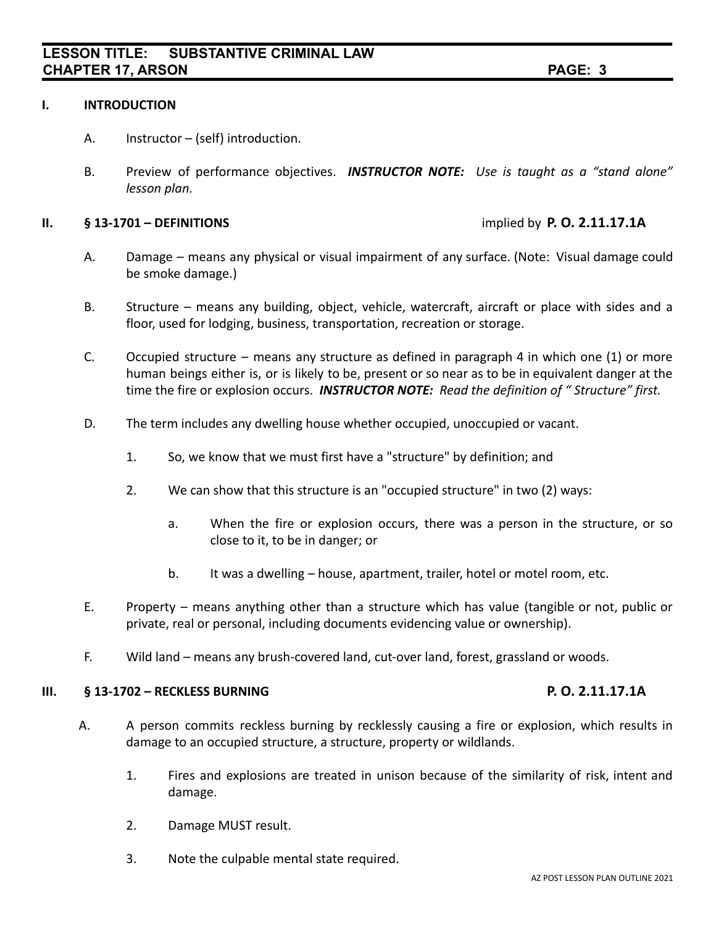### **I. INTRODUCTION**

- A. Instructor (self) introduction.
- B. Preview of performance objectives. *INSTRUCTOR NOTE: Use is taught as a "stand alone" lesson plan.*

#### **II. § 13-1701 – DEFINITIONS** implied by **P. O. 2.11.17.1A**

- A. Damage means any physical or visual impairment of any surface. (Note: Visual damage could be smoke damage.)
- B. Structure means any building, object, vehicle, watercraft, aircraft or place with sides and a floor, used for lodging, business, transportation, recreation or storage.
- C. Occupied structure means any structure as defined in paragraph 4 in which one (1) or more human beings either is, or is likely to be, present or so near as to be in equivalent danger at the time the fire or explosion occurs. *INSTRUCTOR NOTE: Read the definition of " Structure" first.*
- D. The term includes any dwelling house whether occupied, unoccupied or vacant.
	- 1. So, we know that we must first have a "structure" by definition; and
	- 2. We can show that this structure is an "occupied structure" in two (2) ways:
		- a. When the fire or explosion occurs, there was a person in the structure, or so close to it, to be in danger; or
		- b. It was a dwelling house, apartment, trailer, hotel or motel room, etc.
- E. Property means anything other than a structure which has value (tangible or not, public or private, real or personal, including documents evidencing value or ownership).
- F. Wild land means any brush-covered land, cut-over land, forest, grassland or woods.

### **III. § 13-1702 – RECKLESS BURNING P. O. 2.11.17.1A**

- A. A person commits reckless burning by recklessly causing a fire or explosion, which results in damage to an occupied structure, a structure, property or wildlands.
	- 1. Fires and explosions are treated in unison because of the similarity of risk, intent and damage.
	- 2. Damage MUST result.
	- 3. Note the culpable mental state required.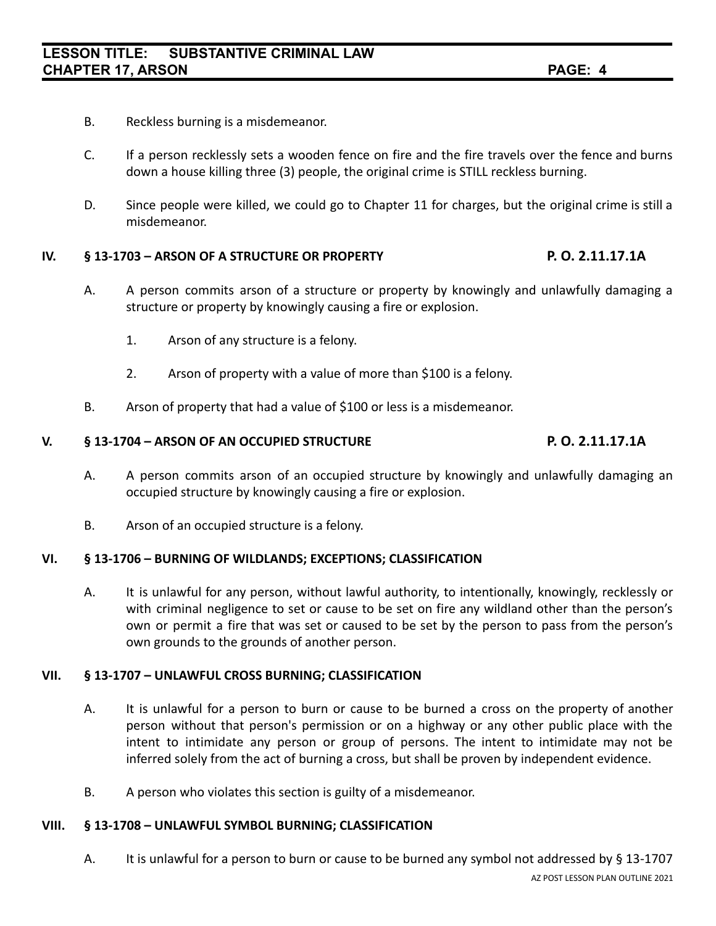- B. Reckless burning is a misdemeanor.
- C. If a person recklessly sets a wooden fence on fire and the fire travels over the fence and burns down a house killing three (3) people, the original crime is STILL reckless burning.
- D. Since people were killed, we could go to Chapter 11 for charges, but the original crime is still a misdemeanor.

### **IV. § 13-1703 – ARSON OF A STRUCTURE OR PROPERTY P. O. 2.11.17.1A**

- A. A person commits arson of a structure or property by knowingly and unlawfully damaging a structure or property by knowingly causing a fire or explosion.
	- 1. Arson of any structure is a felony.
	- 2. Arson of property with a value of more than \$100 is a felony.
- B. Arson of property that had a value of \$100 or less is a misdemeanor.

### **V. § 13-1704 – ARSON OF AN OCCUPIED STRUCTURE P. O. 2.11.17.1A**

- A. A person commits arson of an occupied structure by knowingly and unlawfully damaging an occupied structure by knowingly causing a fire or explosion.
- B. Arson of an occupied structure is a felony.

### **VI. § 13-1706 – BURNING OF WILDLANDS; EXCEPTIONS; CLASSIFICATION**

A. It is unlawful for any person, without lawful authority, to intentionally, knowingly, recklessly or with criminal negligence to set or cause to be set on fire any wildland other than the person's own or permit a fire that was set or caused to be set by the person to pass from the person's own grounds to the grounds of another person.

### **VII. § 13-1707 – UNLAWFUL CROSS BURNING; CLASSIFICATION**

- A. It is unlawful for a person to burn or cause to be burned a cross on the property of another person without that person's permission or on a highway or any other public place with the intent to intimidate any person or group of persons. The intent to intimidate may not be inferred solely from the act of burning a cross, but shall be proven by independent evidence.
- B. A person who violates this section is guilty of a misdemeanor.

### **VIII. § 13-1708 – UNLAWFUL SYMBOL BURNING; CLASSIFICATION**

A. It is unlawful for a person to burn or cause to be burned any symbol not addressed by § 13-1707